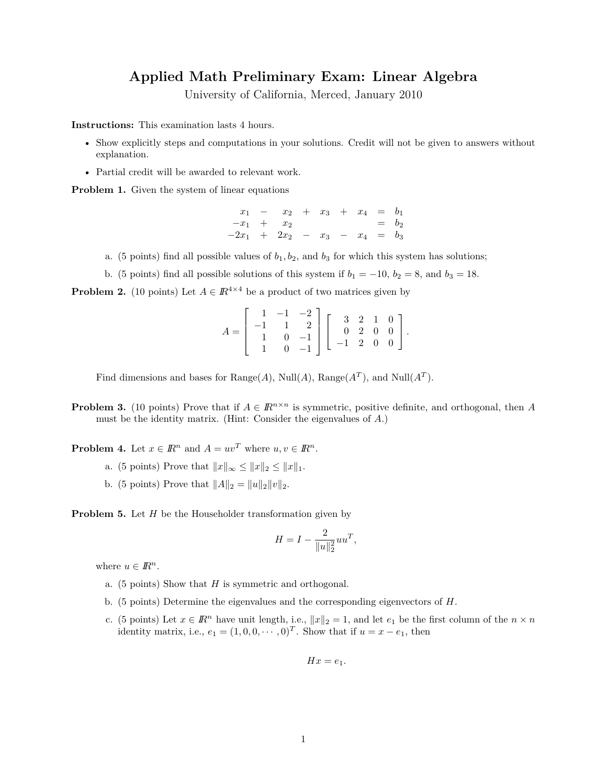## **Applied Math Preliminary Exam: Linear Algebra**

University of California, Merced, January 2010

**Instructions:** This examination lasts 4 hours.

- Show explicitly steps and computations in your solutions. Credit will not be given to answers without explanation.
- Partial credit will be awarded to relevant work.

**Problem 1.** Given the system of linear equations

 $x_1$  −  $x_2$  +  $x_3$  +  $x_4$  =  $b_1$  $-x_1 + x_2 = b_2$ −2*x*<sup>1</sup> + 2*x*<sup>2</sup> − *x*<sup>3</sup> − *x*<sup>4</sup> = *b*<sup>3</sup>

- a. (5 points) find all possible values of  $b_1, b_2$ , and  $b_3$  for which this system has solutions;
- b. (5 points) find all possible solutions of this system if  $b_1 = -10$ ,  $b_2 = 8$ , and  $b_3 = 18$ .

**Problem 2.** (10 points) Let  $A \in \mathbb{R}^{4 \times 4}$  be a product of two matrices given by

$$
A = \begin{bmatrix} 1 & -1 & -2 \\ -1 & 1 & 2 \\ 1 & 0 & -1 \\ 1 & 0 & -1 \end{bmatrix} \begin{bmatrix} 3 & 2 & 1 & 0 \\ 0 & 2 & 0 & 0 \\ -1 & 2 & 0 & 0 \end{bmatrix}.
$$

Find dimensions and bases for  $Range(A)$ ,  $Null(A)$ ,  $Range(A<sup>T</sup>)$ , and  $Null(A<sup>T</sup>)$ .

**Problem 3.** (10 points) Prove that if  $A \in \mathbb{R}^{n \times n}$  is symmetric, positive definite, and orthogonal, then *A* must be the identity matrix. (Hint: Consider the eigenvalues of *A*.)

**Problem 4.** Let  $x \in \mathbb{R}^n$  and  $A = uv^T$  where  $u, v \in \mathbb{R}^n$ .

- a. (5 points) Prove that  $||x||_{\infty} \le ||x||_2 \le ||x||_1$ .
- b. (5 points) Prove that  $||A||_2 = ||u||_2 ||v||_2$ .

**Problem 5.** Let *H* be the Householder transformation given by

$$
H=I-\frac{2}{\|u\|_2^2}uu^T,
$$

where  $u \in \mathbb{R}^n$ .

- a. (5 points) Show that *H* is symmetric and orthogonal.
- b. (5 points) Determine the eigenvalues and the corresponding eigenvectors of *H*.
- c. (5 points) Let  $x \in \mathbb{R}^n$  have unit length, i.e.,  $||x||_2 = 1$ , and let  $e_1$  be the first column of the  $n \times n$ identity matrix, i.e.,  $e_1 = (1, 0, 0, \dots, 0)^T$ . Show that if  $u = x - e_1$ , then

$$
Hx = e_1.
$$